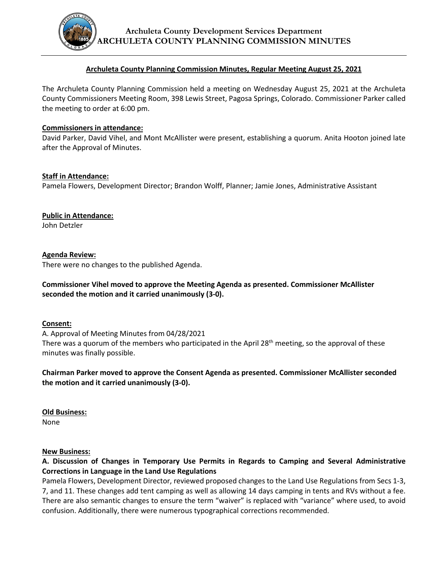

## **Archuleta County Planning Commission Minutes, Regular Meeting August 25, 2021**

The Archuleta County Planning Commission held a meeting on Wednesday August 25, 2021 at the Archuleta County Commissioners Meeting Room, 398 Lewis Street, Pagosa Springs, Colorado. Commissioner Parker called the meeting to order at 6:00 pm.

### **Commissioners in attendance:**

David Parker, David Vihel, and Mont McAllister were present, establishing a quorum. Anita Hooton joined late after the Approval of Minutes.

## **Staff in Attendance:**

Pamela Flowers, Development Director; Brandon Wolff, Planner; Jamie Jones, Administrative Assistant

**Public in Attendance:** John Detzler

## **Agenda Review:**

There were no changes to the published Agenda.

# **Commissioner Vihel moved to approve the Meeting Agenda as presented. Commissioner McAllister seconded the motion and it carried unanimously (3-0).**

#### **Consent:**

A. Approval of Meeting Minutes from 04/28/2021 There was a quorum of the members who participated in the April  $28<sup>th</sup>$  meeting, so the approval of these minutes was finally possible.

# **Chairman Parker moved to approve the Consent Agenda as presented. Commissioner McAllister seconded the motion and it carried unanimously (3-0).**

**Old Business:** None

#### **New Business:**

**A. Discussion of Changes in Temporary Use Permits in Regards to Camping and Several Administrative Corrections in Language in the Land Use Regulations**

Pamela Flowers, Development Director, reviewed proposed changes to the Land Use Regulations from Secs 1-3, 7, and 11. These changes add tent camping as well as allowing 14 days camping in tents and RVs without a fee. There are also semantic changes to ensure the term "waiver" is replaced with "variance" where used, to avoid confusion. Additionally, there were numerous typographical corrections recommended.